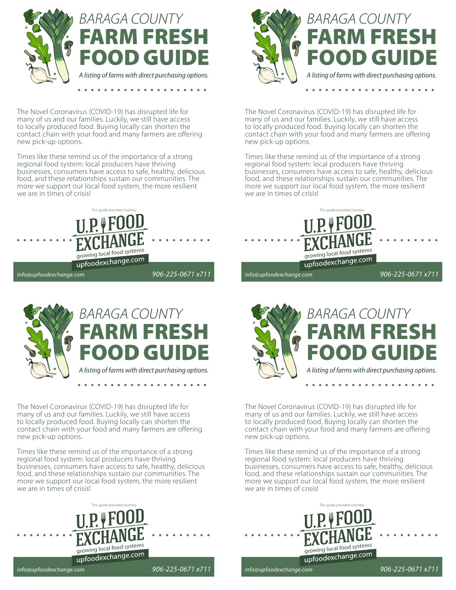

The Novel Coronavirus (COVID-19) has disrupted life for many of us and our families. Luckily, we still have access to locally produced food. Buying locally can shorten the contact chain with your food and many farmers are offering new pick-up options.

Times like these remind us of the importance of a strong regional food system: local producers have thriving businesses, consumers have access to safe, healthy, delicious food, and these relationships sustain our communities. The more we support our local food system, the more resilient we are in times of crisis!





The Novel Coronavirus (COVID-19) has disrupted life for many of us and our families. Luckily, we still have access to locally produced food. Buying locally can shorten the contact chain with your food and many farmers are offering new pick-up options.

Times like these remind us of the importance of a strong regional food system: local producers have thriving businesses, consumers have access to safe, healthy, delicious food, and these relationships sustain our communities. The more we support our local food system, the more resilient we are in times of crisis!





The Novel Coronavirus (COVID-19) has disrupted life for many of us and our families. Luckily, we still have access to locally produced food. Buying locally can shorten the contact chain with your food and many farmers are offering new pick-up options.

Times like these remind us of the importance of a strong regional food system: local producers have thriving businesses, consumers have access to safe, healthy, delicious food, and these relationships sustain our communities. The more we support our local food system, the more resilient we are in times of crisis!





The Novel Coronavirus (COVID-19) has disrupted life for many of us and our families. Luckily, we still have access to locally produced food. Buying locally can shorten the contact chain with your food and many farmers are offering new pick-up options.

Times like these remind us of the importance of a strong regional food system: local producers have thriving businesses, consumers have access to safe, healthy, delicious food, and these relationships sustain our communities. The more we support our local food system, the more resilient we are in times of crisis!



*info@upfoodexchange.com*

*info@upfoodexchange.com*

*906-225-0671 x711*